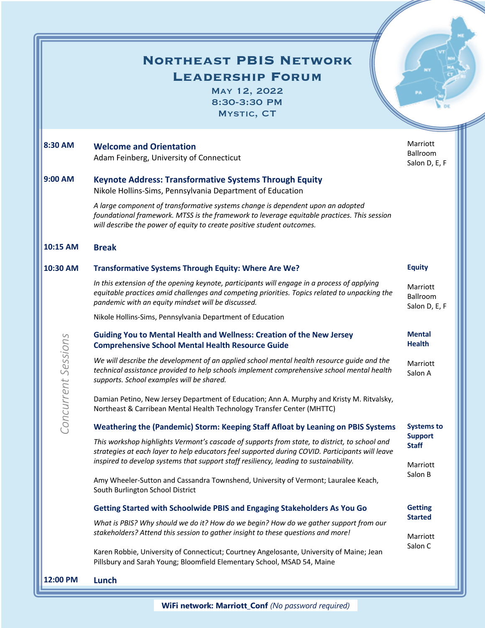## **Northeast PBIS Network**

**Leadership Forum**

May 12, 2022 8:30-3:30 PM Mystic, CT

| 8:30 AM             | <b>Welcome and Orientation</b><br>Adam Feinberg, University of Connecticut                                                                                                                                                                                                                | Marriott<br>Ballroom<br>Salon D, E, F               |
|---------------------|-------------------------------------------------------------------------------------------------------------------------------------------------------------------------------------------------------------------------------------------------------------------------------------------|-----------------------------------------------------|
| 9:00 AM             | <b>Keynote Address: Transformative Systems Through Equity</b><br>Nikole Hollins-Sims, Pennsylvania Department of Education                                                                                                                                                                |                                                     |
|                     | A large component of transformative systems change is dependent upon an adopted<br>foundational framework. MTSS is the framework to leverage equitable practices. This session<br>will describe the power of equity to create positive student outcomes.                                  |                                                     |
| 10:15 AM            | <b>Break</b>                                                                                                                                                                                                                                                                              |                                                     |
| 10:30 AM            | Transformative Systems Through Equity: Where Are We?                                                                                                                                                                                                                                      | <b>Equity</b>                                       |
|                     | In this extension of the opening keynote, participants will engage in a process of applying<br>equitable practices amid challenges and competing priorities. Topics related to unpacking the<br>pandemic with an equity mindset will be discussed.                                        | Marriott<br>Ballroom<br>Salon D, E, F               |
|                     | Nikole Hollins-Sims, Pennsylvania Department of Education                                                                                                                                                                                                                                 |                                                     |
| Concurrent Sessions | <b>Guiding You to Mental Health and Wellness: Creation of the New Jersey</b><br><b>Comprehensive School Mental Health Resource Guide</b>                                                                                                                                                  | <b>Mental</b><br><b>Health</b>                      |
|                     | We will describe the development of an applied school mental health resource guide and the<br>technical assistance provided to help schools implement comprehensive school mental health<br>supports. School examples will be shared.                                                     | Marriott<br>Salon A                                 |
|                     | Damian Petino, New Jersey Department of Education; Ann A. Murphy and Kristy M. Ritvalsky,<br>Northeast & Carribean Mental Health Technology Transfer Center (MHTTC)                                                                                                                       |                                                     |
|                     | Weathering the (Pandemic) Storm: Keeping Staff Afloat by Leaning on PBIS Systems                                                                                                                                                                                                          | <b>Systems to</b><br><b>Support</b><br><b>Staff</b> |
|                     | This workshop highlights Vermont's cascade of supports from state, to district, to school and<br>strategies at each layer to help educators feel supported during COVID. Participants will leave<br>inspired to develop systems that support staff resiliency, leading to sustainability. |                                                     |
|                     | Amy Wheeler-Sutton and Cassandra Townshend, University of Vermont; Lauralee Keach,<br>South Burlington School District                                                                                                                                                                    | Marriott<br>Salon B                                 |
|                     | Getting Started with Schoolwide PBIS and Engaging Stakeholders As You Go                                                                                                                                                                                                                  | <b>Getting</b><br><b>Started</b>                    |
|                     | What is PBIS? Why should we do it? How do we begin? How do we gather support from our                                                                                                                                                                                                     |                                                     |
|                     | stakeholders? Attend this session to gather insight to these questions and more!<br>Karen Robbie, University of Connecticut; Courtney Angelosante, University of Maine; Jean<br>Pillsbury and Sarah Young; Bloomfield Elementary School, MSAD 54, Maine                                   | Marriott<br>Salon C                                 |